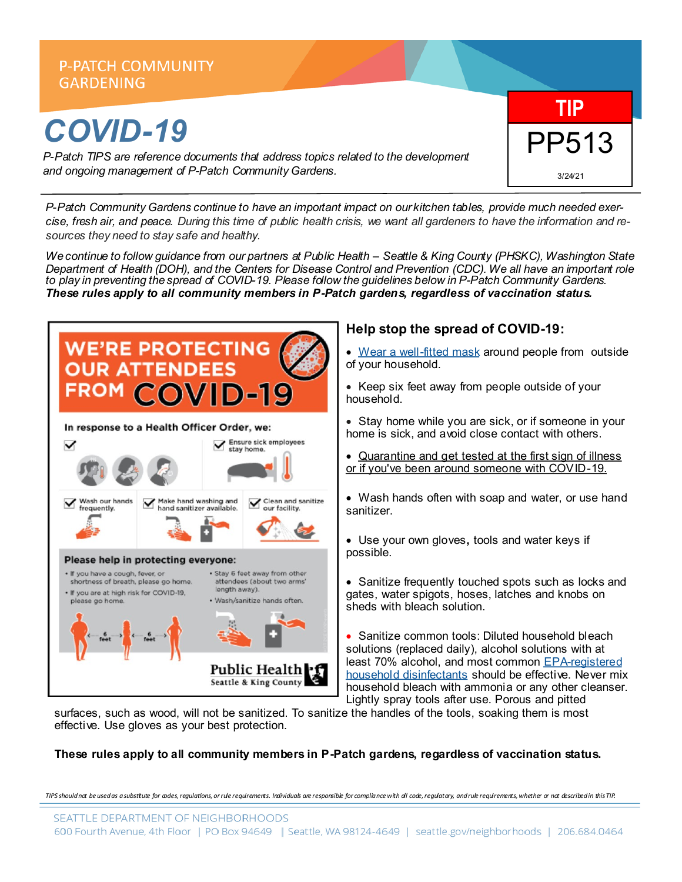

*P-Patch Community Gardens continue to have an important impact on our kitchen tables, provide much needed exercise, fresh air, and peace. During this time of public health crisis, we want all gardeners to have the information and resources they need to stay safe and healthy.*

*We continue to follow guidance from our partners at Public Health – Seattle & King County (PHSKC), Washington State Department of Health (DOH), and the Centers for Disease Control and Prevention (CDC). We all have an important role to play in preventing the spread of COVID-19. Please follow the guidelines below in P-Patch Community Gardens. These rules apply to all community members in P-Patch gardens, regardless of vaccination status.* 



# **Help stop the spread of COVID-19:**

- [Wear a well](https://www.cdc.gov/coronavirus/2019-ncov/prevent-getting-sick/about-face-coverings.html)-fitted mask around people from outside of your household.
- Keep six feet away from people outside of your household.
- Stay home while you are sick, or if someone in your home is sick, and avoid close contact with others.
- [Quarantine and get tested at the first sign of illness](https://www.kingcounty.gov/elected/executive/constantine/covid-response/current-guidance/testing.aspx)  [or if you've been around someone with COVID](https://www.kingcounty.gov/elected/executive/constantine/covid-response/current-guidance/testing.aspx)-19.
- Wash hands often with soap and water, or use hand sanitizer.
- Use your own gloves**,** tools and water keys if possible.
- Sanitize frequently touched spots such as locks and gates, water spigots, hoses, latches and knobs on sheds with bleach solution.

• Sanitize common tools: Diluted household bleach solutions (replaced daily), alcohol solutions with at least 70% alcohol, and most common EPA-[registered](https://www.cdc.gov/coronavirus/2019-ncov/prepare/cleaning-disinfection.html)  [household disinfectants](https://www.cdc.gov/coronavirus/2019-ncov/prepare/cleaning-disinfection.html) should be effective. Never mix household bleach with ammonia or any other cleanser. Lightly spray tools after use. Porous and pitted

surfaces, such as wood, will not be sanitized. To sanitize the handles of the tools, soaking them is most effective. Use gloves as your best protection.

#### **These rules apply to all community members in P-Patch gardens, regardless of vaccination status.**

TIPS should not be used as a substiute for ades, regulations, or rule requirements. Individuals are responsible for compliance with all code, regulatary, and rule requirements, whether ar not described in this TIP.